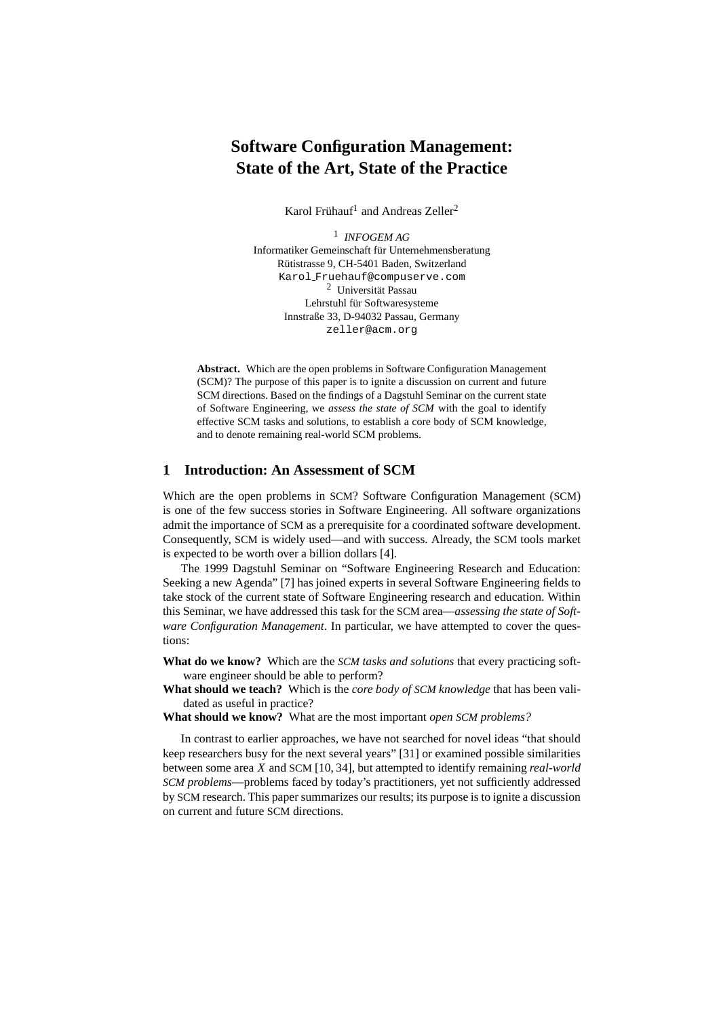# **Software Configuration Management: State of the Art, State of the Practice**

Karol Frühauf<sup>1</sup> and Andreas Zeller<sup>2</sup>

<sup>1</sup> *INFOGEM AG* Informatiker Gemeinschaft für Unternehmensberatung Rütistrasse 9, CH-5401 Baden, Switzerland Karol Fruehauf@compuserve.com <sup>2</sup> Universität Passau Lehrstuhl für Softwaresysteme Innstraße 33, D-94032 Passau, Germany zeller@acm.org

**Abstract.** Which are the open problems in Software Configuration Management (SCM)? The purpose of this paper is to ignite a discussion on current and future SCM directions. Based on the findings of a Dagstuhl Seminar on the current state of Software Engineering, we *assess the state of SCM* with the goal to identify effective SCM tasks and solutions, to establish a core body of SCM knowledge, and to denote remaining real-world SCM problems.

## **1 Introduction: An Assessment of SCM**

Which are the open problems in SCM? Software Configuration Management (SCM) is one of the few success stories in Software Engineering. All software organizations admit the importance of SCM as a prerequisite for a coordinated software development. Consequently, SCM is widely used—and with success. Already, the SCM tools market is expected to be worth over a billion dollars [4].

The 1999 Dagstuhl Seminar on "Software Engineering Research and Education: Seeking a new Agenda" [7] has joined experts in several Software Engineering fields to take stock of the current state of Software Engineering research and education. Within this Seminar, we have addressed this task for the SCM area—*assessing the state of Software Configuration Management*. In particular, we have attempted to cover the questions:

**What do we know?** Which are the *SCM tasks and solutions* that every practicing software engineer should be able to perform?

**What should we teach?** Which is the *core body of SCM knowledge* that has been validated as useful in practice?

**What should we know?** What are the most important *open SCM problems?*

In contrast to earlier approaches, we have not searched for novel ideas "that should keep researchers busy for the next several years" [31] or examined possible similarities between some area *X* and SCM [10, 34], but attempted to identify remaining *real-world SCM problems*—problems faced by today's practitioners, yet not sufficiently addressed by SCM research. This paper summarizes our results; its purpose is to ignite a discussion on current and future SCM directions.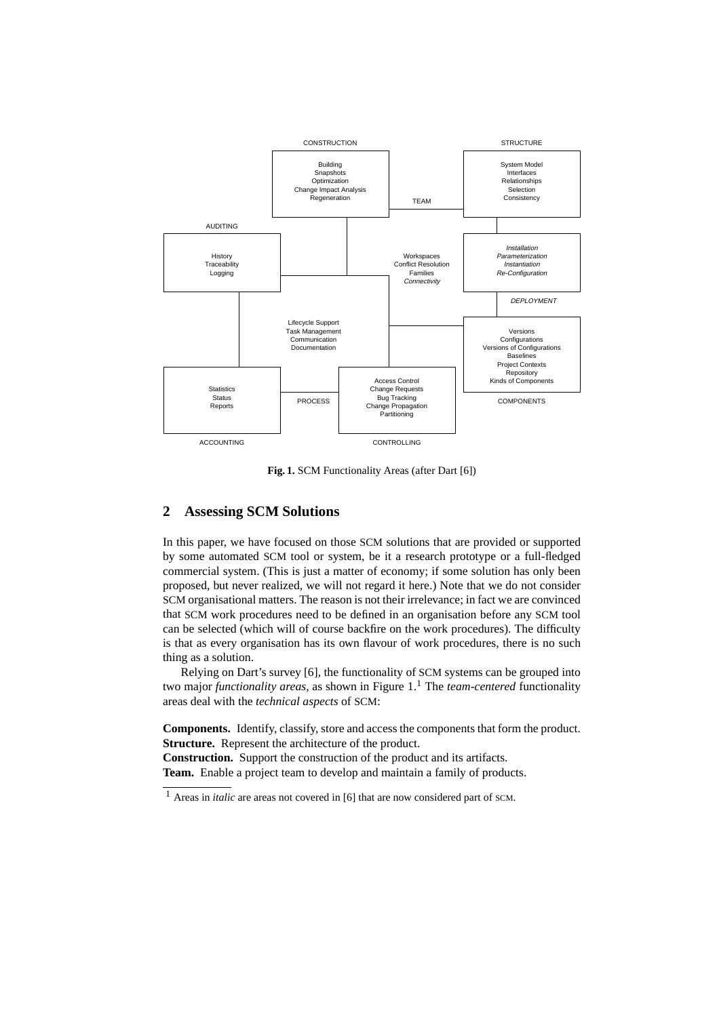

**Fig. 1.** SCM Functionality Areas (after Dart [6])

# **2 Assessing SCM Solutions**

In this paper, we have focused on those SCM solutions that are provided or supported by some automated SCM tool or system, be it a research prototype or a full-fledged commercial system. (This is just a matter of economy; if some solution has only been proposed, but never realized, we will not regard it here.) Note that we do not consider SCM organisational matters. The reason is not their irrelevance; in fact we are convinced that SCM work procedures need to be defined in an organisation before any SCM tool can be selected (which will of course backfire on the work procedures). The difficulty is that as every organisation has its own flavour of work procedures, there is no such thing as a solution.

Relying on Dart's survey [6], the functionality of SCM systems can be grouped into two major *functionality areas,* as shown in Figure 1.<sup>1</sup> The *team-centered* functionality areas deal with the *technical aspects* of SCM:

**Components.** Identify, classify, store and access the components that form the product. **Structure.** Represent the architecture of the product.

**Construction.** Support the construction of the product and its artifacts.

**Team.** Enable a project team to develop and maintain a family of products.

<sup>1</sup> Areas in *italic* are areas not covered in [6] that are now considered part of SCM.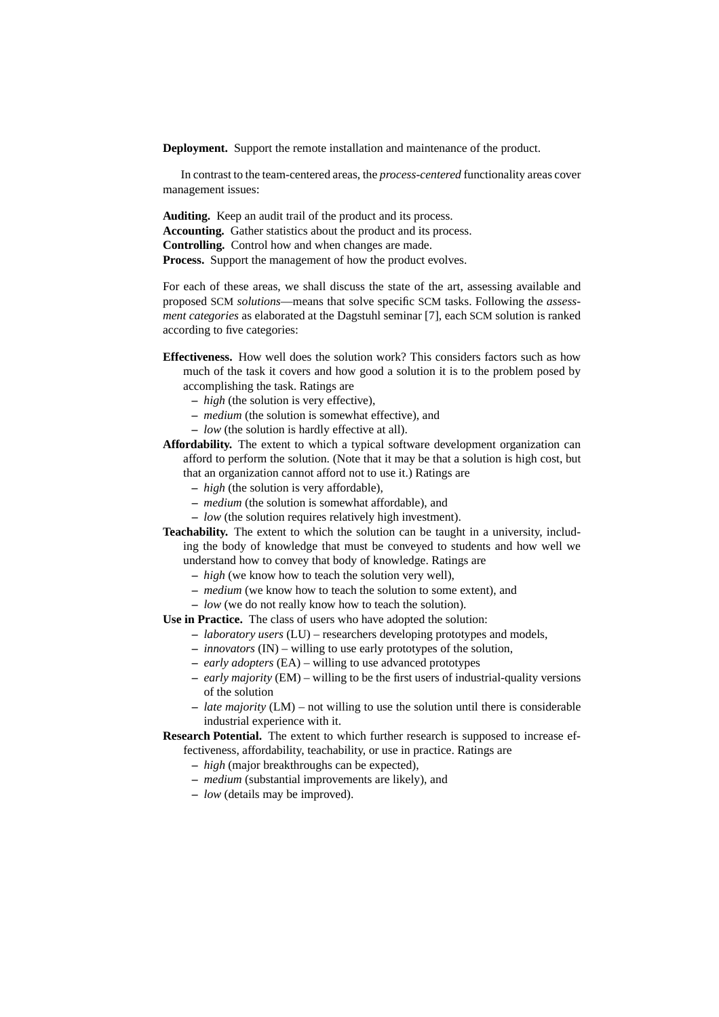**Deployment.** Support the remote installation and maintenance of the product.

In contrast to the team-centered areas, the *process-centered* functionality areas cover management issues:

**Auditing.** Keep an audit trail of the product and its process. **Accounting.** Gather statistics about the product and its process. **Controlling.** Control how and when changes are made. **Process.** Support the management of how the product evolves.

For each of these areas, we shall discuss the state of the art, assessing available and proposed SCM *solutions*—means that solve specific SCM tasks. Following the *assessment categories* as elaborated at the Dagstuhl seminar [7], each SCM solution is ranked according to five categories:

- **Effectiveness.** How well does the solution work? This considers factors such as how much of the task it covers and how good a solution it is to the problem posed by accomplishing the task. Ratings are
	- **–** *high* (the solution is very effective),
	- **–** *medium* (the solution is somewhat effective), and
	- **–** *low* (the solution is hardly effective at all).
- **Affordability.** The extent to which a typical software development organization can afford to perform the solution. (Note that it may be that a solution is high cost, but that an organization cannot afford not to use it.) Ratings are
	- **–** *high* (the solution is very affordable),
	- **–** *medium* (the solution is somewhat affordable), and
	- **–** *low* (the solution requires relatively high investment).
- **Teachability.** The extent to which the solution can be taught in a university, including the body of knowledge that must be conveyed to students and how well we understand how to convey that body of knowledge. Ratings are
	- **–** *high* (we know how to teach the solution very well),
	- **–** *medium* (we know how to teach the solution to some extent), and
	- **–** *low* (we do not really know how to teach the solution).

**Use in Practice.** The class of users who have adopted the solution:

- **–** *laboratory users* (LU) researchers developing prototypes and models,
- **–** *innovators* (IN) willing to use early prototypes of the solution,
- **–** *early adopters* (EA) willing to use advanced prototypes
- **–** *early majority* (EM) willing to be the first users of industrial-quality versions of the solution
- **–** *late majority* (LM) not willing to use the solution until there is considerable industrial experience with it.

**Research Potential.** The extent to which further research is supposed to increase effectiveness, affordability, teachability, or use in practice. Ratings are

- **–** *high* (major breakthroughs can be expected),
- **–** *medium* (substantial improvements are likely), and
- **–** *low* (details may be improved).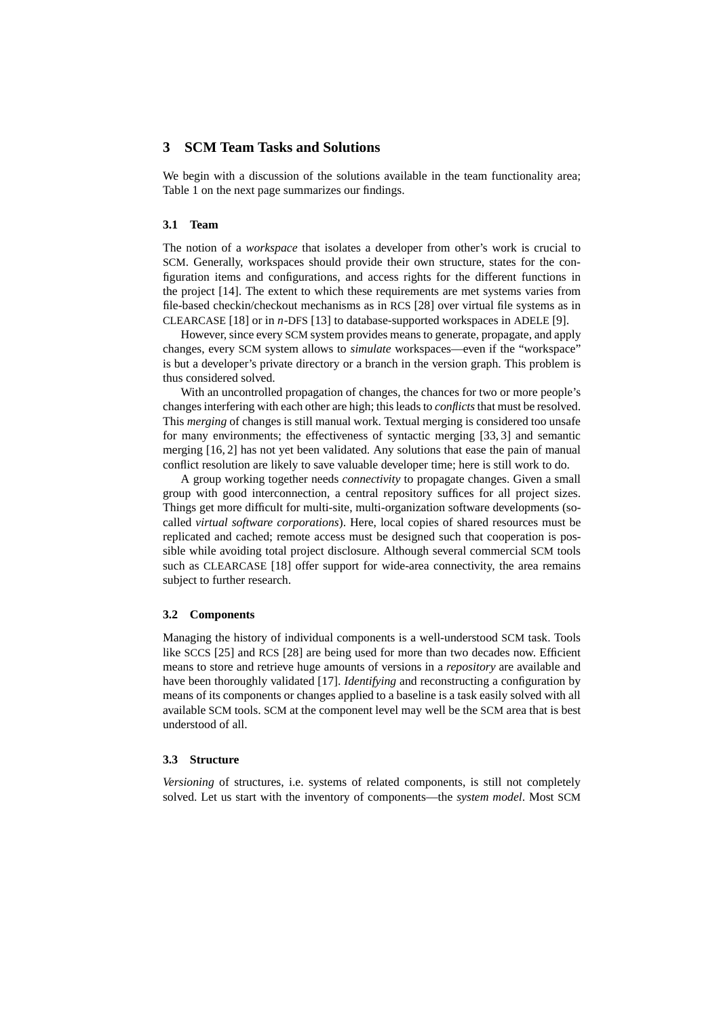## **3 SCM Team Tasks and Solutions**

We begin with a discussion of the solutions available in the team functionality area; Table 1 on the next page summarizes our findings.

#### **3.1 Team**

The notion of a *workspace* that isolates a developer from other's work is crucial to SCM. Generally, workspaces should provide their own structure, states for the configuration items and configurations, and access rights for the different functions in the project [14]. The extent to which these requirements are met systems varies from file-based checkin/checkout mechanisms as in RCS [28] over virtual file systems as in CLEARCASE [18] or in *n*-DFS [13] to database-supported workspaces in ADELE [9].

However, since every SCM system provides means to generate, propagate, and apply changes, every SCM system allows to *simulate* workspaces—even if the "workspace" is but a developer's private directory or a branch in the version graph. This problem is thus considered solved.

With an uncontrolled propagation of changes, the chances for two or more people's changes interfering with each other are high; this leads to *conflicts*that must be resolved. This *merging* of changes is still manual work. Textual merging is considered too unsafe for many environments; the effectiveness of syntactic merging [33, 3] and semantic merging [16, 2] has not yet been validated. Any solutions that ease the pain of manual conflict resolution are likely to save valuable developer time; here is still work to do.

A group working together needs *connectivity* to propagate changes. Given a small group with good interconnection, a central repository suffices for all project sizes. Things get more difficult for multi-site, multi-organization software developments (socalled *virtual software corporations*). Here, local copies of shared resources must be replicated and cached; remote access must be designed such that cooperation is possible while avoiding total project disclosure. Although several commercial SCM tools such as CLEARCASE [18] offer support for wide-area connectivity, the area remains subject to further research.

### **3.2 Components**

Managing the history of individual components is a well-understood SCM task. Tools like SCCS [25] and RCS [28] are being used for more than two decades now. Efficient means to store and retrieve huge amounts of versions in a *repository* are available and have been thoroughly validated [17]. *Identifying* and reconstructing a configuration by means of its components or changes applied to a baseline is a task easily solved with all available SCM tools. SCM at the component level may well be the SCM area that is best understood of all.

### **3.3 Structure**

*Versioning* of structures, i.e. systems of related components, is still not completely solved. Let us start with the inventory of components—the *system model*. Most SCM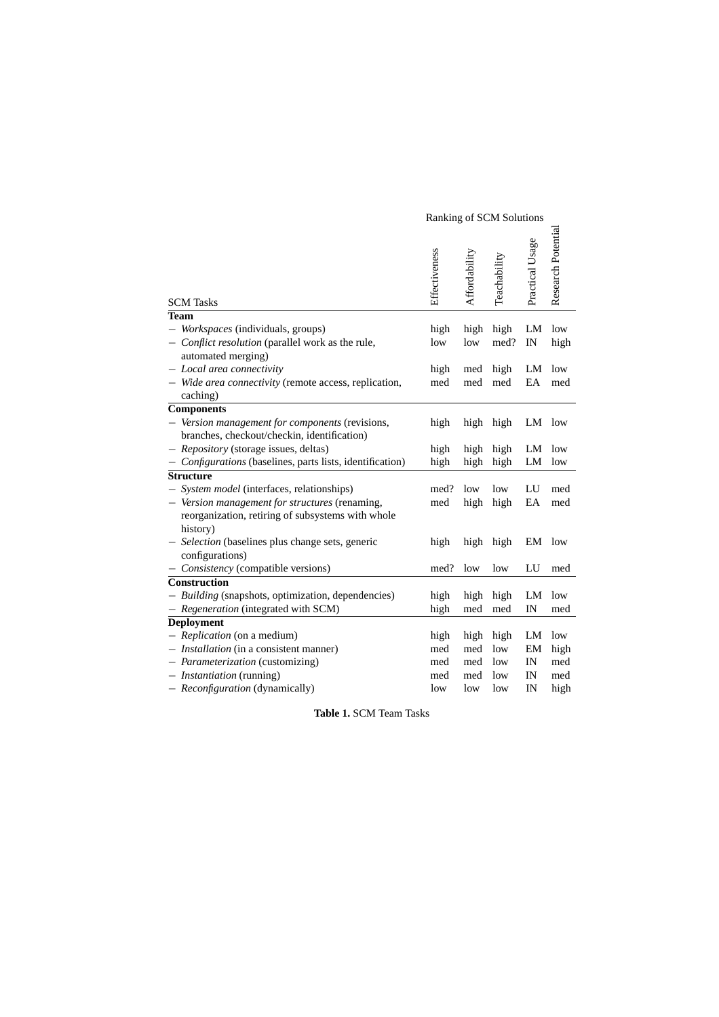| <b>SCM</b> Tasks                                        | Effectiveness | Affordability | Teachability | Practical Usage | Research Potential |
|---------------------------------------------------------|---------------|---------------|--------------|-----------------|--------------------|
| <b>Team</b>                                             |               |               |              |                 |                    |
| Workspaces (individuals, groups)                        | high          | high          | high         | LM              | low                |
| - Conflict resolution (parallel work as the rule,       | low           | low           | med?         | IN              | high               |
| automated merging)                                      |               |               |              |                 |                    |
| - Local area connectivity                               | high          | med           | high         | LM              | low                |
| - Wide area connectivity (remote access, replication,   | med           | med           | med          | EA              | med                |
| caching)                                                |               |               |              |                 |                    |
| <b>Components</b>                                       |               |               |              |                 |                    |
| - Version management for components (revisions,         | high          |               | high high    | LM              | low                |
| branches, checkout/checkin, identification)             |               |               |              |                 |                    |
| - Repository (storage issues, deltas)                   | high          | high          | high         | LM              | low                |
| Configurations (baselines, parts lists, identification) | high          | high          | high         | LM              | low                |
| <b>Structure</b>                                        |               |               |              |                 |                    |
| - System model (interfaces, relationships)              | med?          | low           | low          | LU              | med                |
| - Version management for structures (renaming,          | med           | high          | high         | EA              | med                |
| reorganization, retiring of subsystems with whole       |               |               |              |                 |                    |
| history)                                                |               |               |              |                 |                    |
| - Selection (baselines plus change sets, generic        | high          | high          | high         | EM              | low                |
| configurations)                                         |               |               |              |                 |                    |
| - <i>Consistency</i> (compatible versions)              | med?          | low           | low          | LU              | med                |
| Construction                                            |               |               |              |                 |                    |
| - Building (snapshots, optimization, dependencies)      | high          | high          | high         | LM              | low                |
| - Regeneration (integrated with SCM)                    | high          | med           | med          | $_{\rm IN}$     | med                |
| <b>Deployment</b>                                       |               |               |              |                 |                    |
| - Replication (on a medium)                             | high          | high          | high         | LM              | low                |
| - <i>Installation</i> (in a consistent manner)          | med           | med           | low          | EM              | high               |
| - Parameterization (customizing)                        | med           | med           | low          | IN              | med                |
| - <i>Instantiation</i> (running)                        | med           | med           | low          | IN              | med                |
| - Reconfiguration (dynamically)                         | low           | low           | low          | IN              | high               |

Ranking of SCM Solutions

**Table 1.** SCM Team Tasks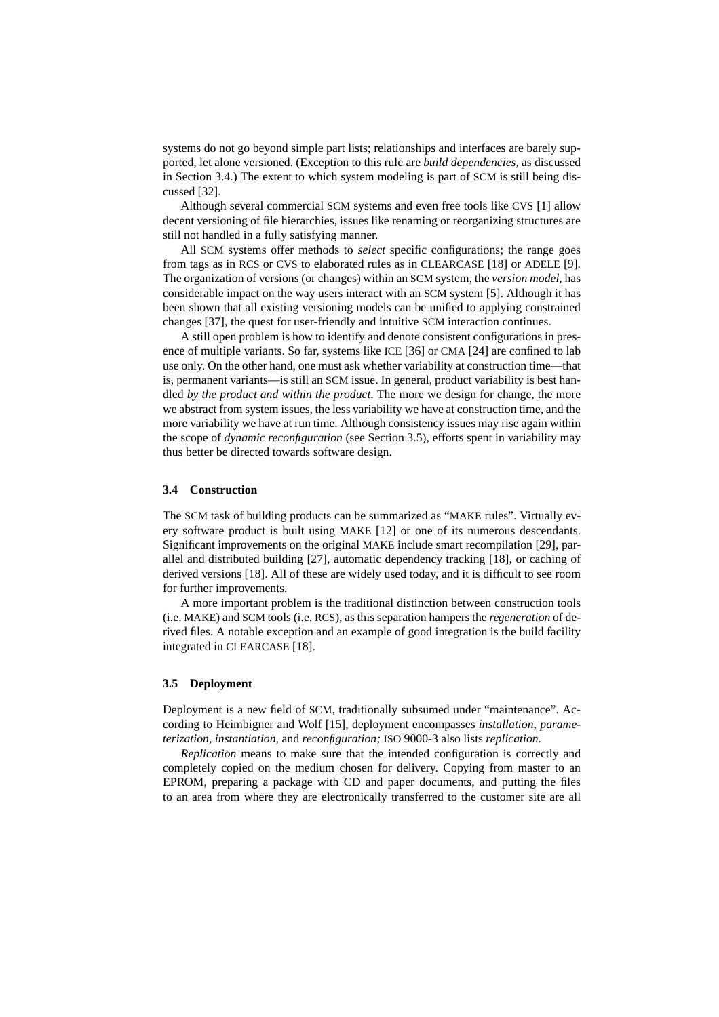systems do not go beyond simple part lists; relationships and interfaces are barely supported, let alone versioned. (Exception to this rule are *build dependencies,* as discussed in Section 3.4.) The extent to which system modeling is part of SCM is still being discussed [32].

Although several commercial SCM systems and even free tools like CVS [1] allow decent versioning of file hierarchies, issues like renaming or reorganizing structures are still not handled in a fully satisfying manner.

All SCM systems offer methods to *select* specific configurations; the range goes from tags as in RCS or CVS to elaborated rules as in CLEARCASE [18] or ADELE [9]. The organization of versions (or changes) within an SCM system, the *version model*, has considerable impact on the way users interact with an SCM system [5]. Although it has been shown that all existing versioning models can be unified to applying constrained changes [37], the quest for user-friendly and intuitive SCM interaction continues.

A still open problem is how to identify and denote consistent configurations in presence of multiple variants. So far, systems like ICE [36] or CMA [24] are confined to lab use only. On the other hand, one must ask whether variability at construction time—that is, permanent variants—is still an SCM issue. In general, product variability is best handled *by the product and within the product*. The more we design for change, the more we abstract from system issues, the less variability we have at construction time, and the more variability we have at run time. Although consistency issues may rise again within the scope of *dynamic reconfiguration* (see Section 3.5), efforts spent in variability may thus better be directed towards software design.

#### **3.4 Construction**

The SCM task of building products can be summarized as "MAKE rules". Virtually every software product is built using MAKE [12] or one of its numerous descendants. Significant improvements on the original MAKE include smart recompilation [29], parallel and distributed building [27], automatic dependency tracking [18], or caching of derived versions [18]. All of these are widely used today, and it is difficult to see room for further improvements.

A more important problem is the traditional distinction between construction tools (i.e. MAKE) and SCM tools (i.e. RCS), as this separation hampers the *regeneration* of derived files. A notable exception and an example of good integration is the build facility integrated in CLEARCASE [18].

#### **3.5 Deployment**

Deployment is a new field of SCM, traditionally subsumed under "maintenance". According to Heimbigner and Wolf [15], deployment encompasses *installation, parameterization, instantiation,* and *reconfiguration;* ISO 9000-3 also lists *replication.*

*Replication* means to make sure that the intended configuration is correctly and completely copied on the medium chosen for delivery. Copying from master to an EPROM, preparing a package with CD and paper documents, and putting the files to an area from where they are electronically transferred to the customer site are all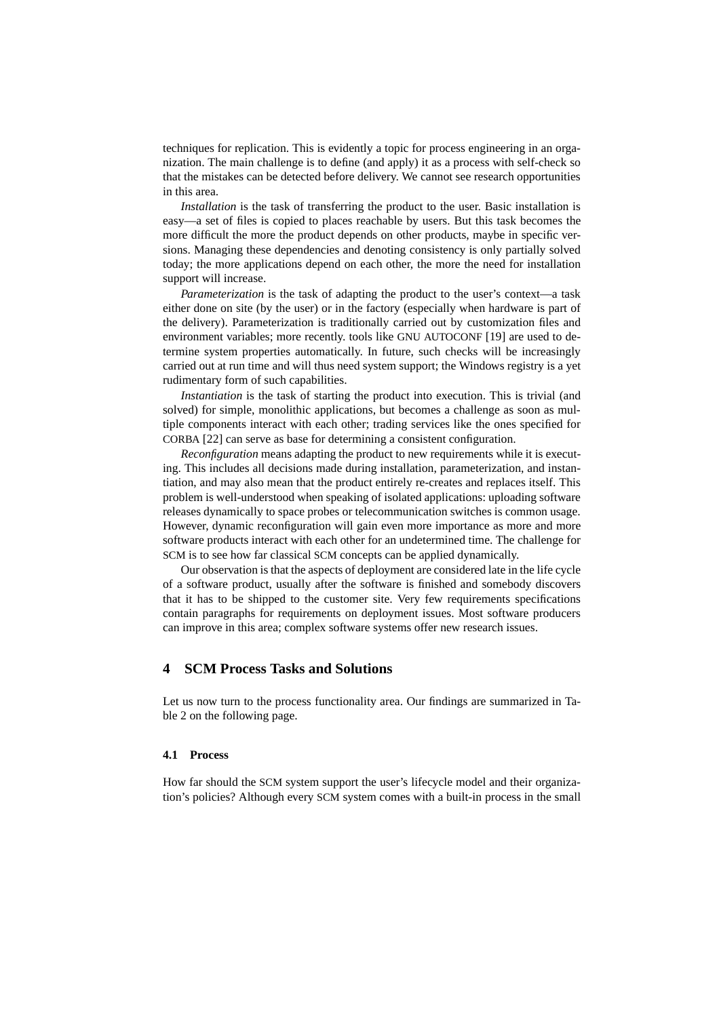techniques for replication. This is evidently a topic for process engineering in an organization. The main challenge is to define (and apply) it as a process with self-check so that the mistakes can be detected before delivery. We cannot see research opportunities in this area.

*Installation* is the task of transferring the product to the user. Basic installation is easy—a set of files is copied to places reachable by users. But this task becomes the more difficult the more the product depends on other products, maybe in specific versions. Managing these dependencies and denoting consistency is only partially solved today; the more applications depend on each other, the more the need for installation support will increase.

*Parameterization* is the task of adapting the product to the user's context—a task either done on site (by the user) or in the factory (especially when hardware is part of the delivery). Parameterization is traditionally carried out by customization files and environment variables; more recently. tools like GNU AUTOCONF [19] are used to determine system properties automatically. In future, such checks will be increasingly carried out at run time and will thus need system support; the Windows registry is a yet rudimentary form of such capabilities.

*Instantiation* is the task of starting the product into execution. This is trivial (and solved) for simple, monolithic applications, but becomes a challenge as soon as multiple components interact with each other; trading services like the ones specified for CORBA [22] can serve as base for determining a consistent configuration.

*Reconfiguration* means adapting the product to new requirements while it is executing. This includes all decisions made during installation, parameterization, and instantiation, and may also mean that the product entirely re-creates and replaces itself. This problem is well-understood when speaking of isolated applications: uploading software releases dynamically to space probes or telecommunication switches is common usage. However, dynamic reconfiguration will gain even more importance as more and more software products interact with each other for an undetermined time. The challenge for SCM is to see how far classical SCM concepts can be applied dynamically.

Our observation is that the aspects of deployment are considered late in the life cycle of a software product, usually after the software is finished and somebody discovers that it has to be shipped to the customer site. Very few requirements specifications contain paragraphs for requirements on deployment issues. Most software producers can improve in this area; complex software systems offer new research issues.

### **4 SCM Process Tasks and Solutions**

Let us now turn to the process functionality area. Our findings are summarized in Table 2 on the following page.

### **4.1 Process**

How far should the SCM system support the user's lifecycle model and their organization's policies? Although every SCM system comes with a built-in process in the small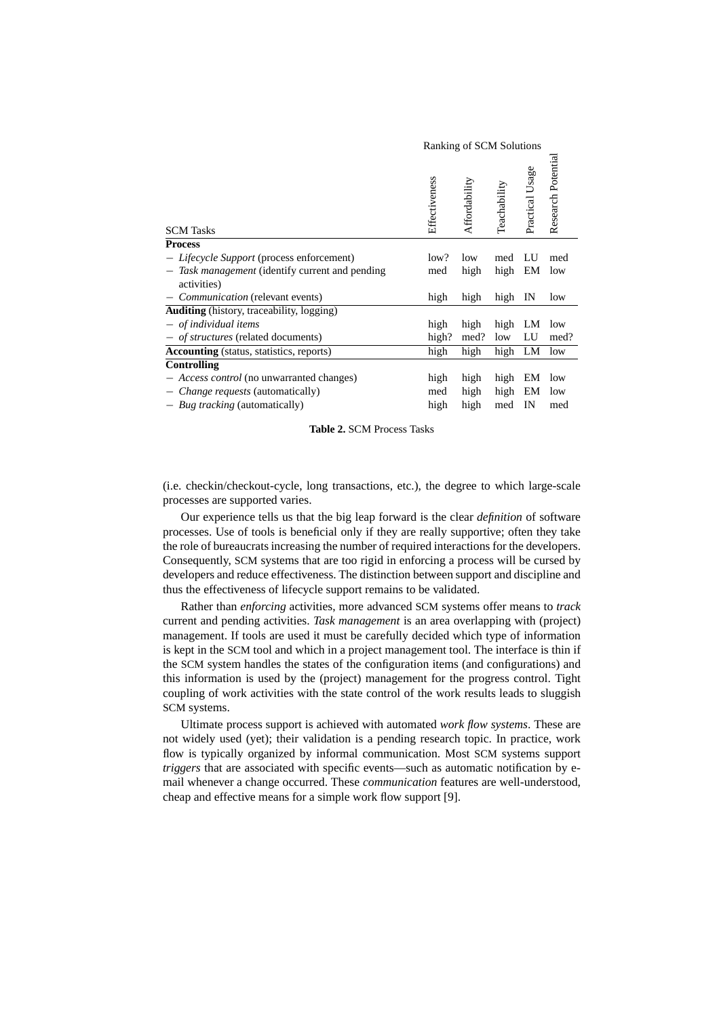Ranking of SCM Solutions

| <b>SCM</b> Tasks                                 | Effectiveness | Affordability | Teachability | Practical Usage | Research Potential |
|--------------------------------------------------|---------------|---------------|--------------|-----------------|--------------------|
| <b>Process</b>                                   |               |               |              |                 |                    |
| - <i>Lifecycle Support</i> (process enforcement) | low?          | low           | med          | LU              | med                |
| - Task management (identify current and pending  | med           | high          | high         | EM              | low                |
| activities)                                      |               |               |              |                 |                    |
| - <i>Communication</i> (relevant events)         | high          | high          | high         | IN              | low                |
| <b>Auditing</b> (history, traceability, logging) |               |               |              |                 |                    |
| - of individual items                            | high          | high          | high         | LM              | low                |
| - <i>of structures</i> (related documents)       | high?         | med?          | low          | LU              | med?               |
| <b>Accounting</b> (status, statistics, reports)  | high          | high          | high         | LM              | low                |
| Controlling                                      |               |               |              |                 |                    |
| - <i>Access control</i> (no unwarranted changes) | high          | high          | high         | EM              | low                |
| - <i>Change requests</i> (automatically)         | med           | high          | high         | EM              | low                |
| <i>Bug tracking</i> (automatically)              | high          | high          | med          | IN              | med                |
|                                                  |               |               |              |                 |                    |

**Table 2.** SCM Process Tasks

(i.e. checkin/checkout-cycle, long transactions, etc.), the degree to which large-scale processes are supported varies.

Our experience tells us that the big leap forward is the clear *definition* of software processes. Use of tools is beneficial only if they are really supportive; often they take the role of bureaucrats increasing the number of required interactions for the developers. Consequently, SCM systems that are too rigid in enforcing a process will be cursed by developers and reduce effectiveness. The distinction between support and discipline and thus the effectiveness of lifecycle support remains to be validated.

Rather than *enforcing* activities, more advanced SCM systems offer means to *track* current and pending activities. *Task management* is an area overlapping with (project) management. If tools are used it must be carefully decided which type of information is kept in the SCM tool and which in a project management tool. The interface is thin if the SCM system handles the states of the configuration items (and configurations) and this information is used by the (project) management for the progress control. Tight coupling of work activities with the state control of the work results leads to sluggish SCM systems.

Ultimate process support is achieved with automated *work flow systems*. These are not widely used (yet); their validation is a pending research topic. In practice, work flow is typically organized by informal communication. Most SCM systems support *triggers* that are associated with specific events—such as automatic notification by email whenever a change occurred. These *communication* features are well-understood, cheap and effective means for a simple work flow support [9].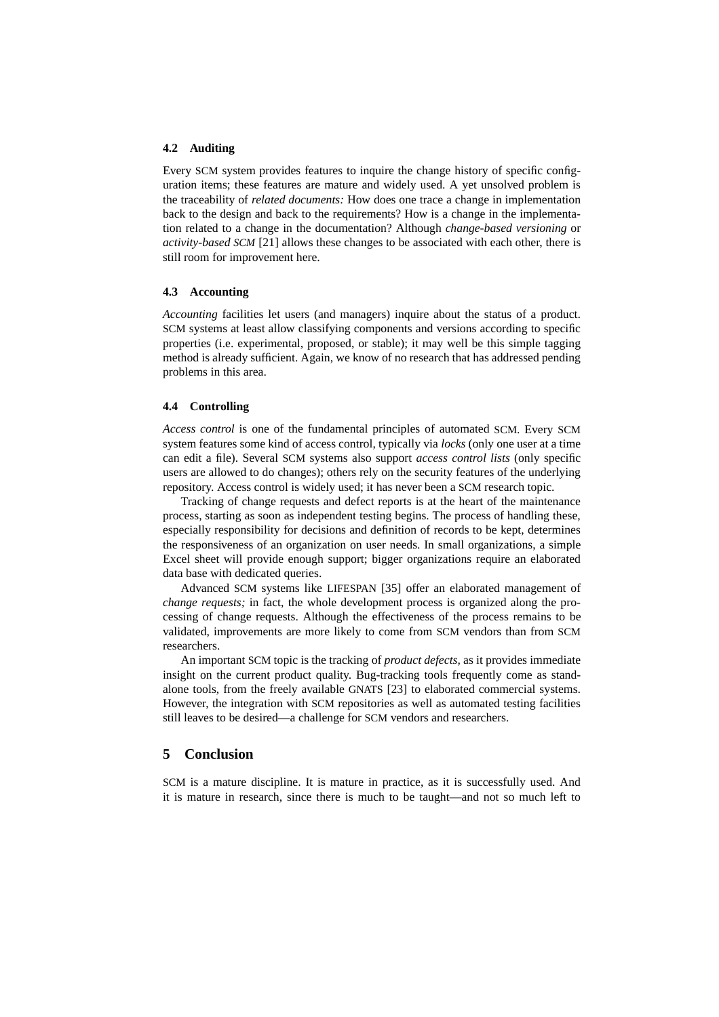#### **4.2 Auditing**

Every SCM system provides features to inquire the change history of specific configuration items; these features are mature and widely used. A yet unsolved problem is the traceability of *related documents:* How does one trace a change in implementation back to the design and back to the requirements? How is a change in the implementation related to a change in the documentation? Although *change-based versioning* or *activity-based SCM* [21] allows these changes to be associated with each other, there is still room for improvement here.

#### **4.3 Accounting**

*Accounting* facilities let users (and managers) inquire about the status of a product. SCM systems at least allow classifying components and versions according to specific properties (i.e. experimental, proposed, or stable); it may well be this simple tagging method is already sufficient. Again, we know of no research that has addressed pending problems in this area.

### **4.4 Controlling**

*Access control* is one of the fundamental principles of automated SCM. Every SCM system features some kind of access control, typically via *locks* (only one user at a time can edit a file). Several SCM systems also support *access control lists* (only specific users are allowed to do changes); others rely on the security features of the underlying repository. Access control is widely used; it has never been a SCM research topic.

Tracking of change requests and defect reports is at the heart of the maintenance process, starting as soon as independent testing begins. The process of handling these, especially responsibility for decisions and definition of records to be kept, determines the responsiveness of an organization on user needs. In small organizations, a simple Excel sheet will provide enough support; bigger organizations require an elaborated data base with dedicated queries.

Advanced SCM systems like LIFESPAN [35] offer an elaborated management of *change requests;* in fact, the whole development process is organized along the processing of change requests. Although the effectiveness of the process remains to be validated, improvements are more likely to come from SCM vendors than from SCM researchers.

An important SCM topic is the tracking of *product defects,* as it provides immediate insight on the current product quality. Bug-tracking tools frequently come as standalone tools, from the freely available GNATS [23] to elaborated commercial systems. However, the integration with SCM repositories as well as automated testing facilities still leaves to be desired—a challenge for SCM vendors and researchers.

### **5 Conclusion**

SCM is a mature discipline. It is mature in practice, as it is successfully used. And it is mature in research, since there is much to be taught—and not so much left to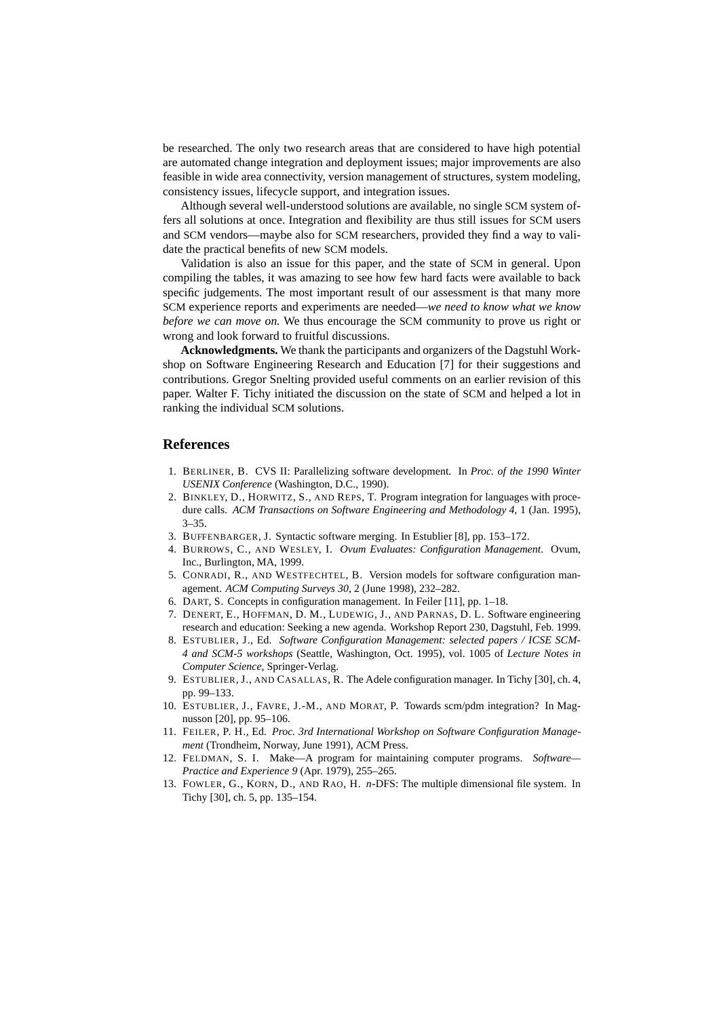be researched. The only two research areas that are considered to have high potential are automated change integration and deployment issues; major improvements are also feasible in wide area connectivity, version management of structures, system modeling, consistency issues, lifecycle support, and integration issues.

Although several well-understood solutions are available, no single SCM system offers all solutions at once. Integration and flexibility are thus still issues for SCM users and SCM vendors—maybe also for SCM researchers, provided they find a way to validate the practical benefits of new SCM models.

Validation is also an issue for this paper, and the state of SCM in general. Upon compiling the tables, it was amazing to see how few hard facts were available to back specific judgements. The most important result of our assessment is that many more SCM experience reports and experiments are needed—*we need to know what we know before we can move on.* We thus encourage the SCM community to prove us right or wrong and look forward to fruitful discussions.

**Acknowledgments.** We thank the participants and organizers of the Dagstuhl Workshop on Software Engineering Research and Education [7] for their suggestions and contributions. Gregor Snelting provided useful comments on an earlier revision of this paper. Walter F. Tichy initiated the discussion on the state of SCM and helped a lot in ranking the individual SCM solutions.

## **References**

- 1. BERLINER, B. CVS II: Parallelizing software development. In *Proc. of the 1990 Winter USENIX Conference* (Washington, D.C., 1990).
- 2. BINKLEY, D., HORWITZ, S., AND REPS, T. Program integration for languages with procedure calls. *ACM Transactions on Software Engineering and Methodology 4*, 1 (Jan. 1995),  $3 - 35$
- 3. BUFFENBARGER, J. Syntactic software merging. In Estublier [8], pp. 153–172.
- 4. BURROWS, C., AND WESLEY, I. *Ovum Evaluates: Configuration Management*. Ovum, Inc., Burlington, MA, 1999.
- 5. CONRADI, R., AND WESTFECHTEL, B. Version models for software configuration management. *ACM Computing Surveys 30*, 2 (June 1998), 232–282.
- 6. DART, S. Concepts in configuration management. In Feiler [11], pp. 1–18.
- 7. DENERT, E., HOFFMAN, D. M., LUDEWIG, J., AND PARNAS, D. L. Software engineering research and education: Seeking a new agenda. Workshop Report 230, Dagstuhl, Feb. 1999.
- 8. ESTUBLIER, J., Ed. *Software Configuration Management: selected papers / ICSE SCM-4 and SCM-5 workshops* (Seattle, Washington, Oct. 1995), vol. 1005 of *Lecture Notes in Computer Science*, Springer-Verlag.
- 9. ESTUBLIER, J., AND CASALLAS, R. The Adele configuration manager. In Tichy [30], ch. 4, pp. 99–133.
- 10. ESTUBLIER, J., FAVRE, J.-M., AND MORAT, P. Towards scm/pdm integration? In Magnusson [20], pp. 95–106.
- 11. FEILER, P. H., Ed. *Proc. 3rd International Workshop on Software Configuration Management* (Trondheim, Norway, June 1991), ACM Press.
- 12. FELDMAN, S. I. Make—A program for maintaining computer programs. *Software— Practice and Experience 9* (Apr. 1979), 255–265.
- 13. FOWLER, G., KORN, D., AND RAO, H. *n*-DFS: The multiple dimensional file system. In Tichy [30], ch. 5, pp. 135–154.